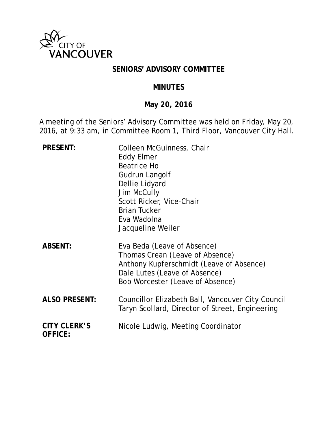

### **SENIORS' ADVISORY COMMITTEE**

#### **MINUTES**

## **May 20, 2016**

A meeting of the Seniors' Advisory Committee was held on Friday, May 20, 2016, at 9:33 am, in Committee Room 1, Third Floor, Vancouver City Hall.

| <b>PRESENT:</b>                       | Colleen McGuinness, Chair<br><b>Eddy Elmer</b><br><b>Beatrice Ho</b><br>Gudrun Langolf<br>Dellie Lidyard<br><b>Jim McCully</b><br>Scott Ricker, Vice-Chair<br><b>Brian Tucker</b><br>Eva Wadolna<br>Jacqueline Weiler |
|---------------------------------------|-----------------------------------------------------------------------------------------------------------------------------------------------------------------------------------------------------------------------|
| <b>ABSENT:</b>                        | Eva Beda (Leave of Absence)<br>Thomas Crean (Leave of Absence)<br>Anthony Kupferschmidt (Leave of Absence)<br>Dale Lutes (Leave of Absence)<br>Bob Worcester (Leave of Absence)                                       |
| <b>ALSO PRESENT:</b>                  | Councillor Elizabeth Ball, Vancouver City Council<br>Taryn Scollard, Director of Street, Engineering                                                                                                                  |
| <b>CITY CLERK'S</b><br><b>OFFICE:</b> | Nicole Ludwig, Meeting Coordinator                                                                                                                                                                                    |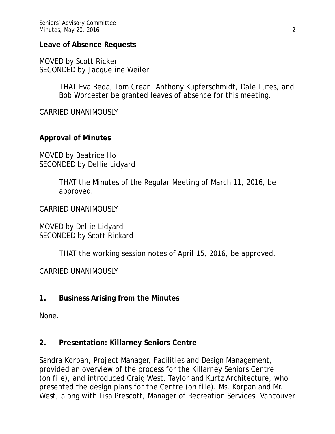### **Leave of Absence Requests**

MOVED by Scott Ricker SECONDED by Jacqueline Weiler

> THAT Eva Beda, Tom Crean, Anthony Kupferschmidt, Dale Lutes, and Bob Worcester be granted leaves of absence for this meeting.

CARRIED UNANIMOUSLY

## **Approval of Minutes**

MOVED by Beatrice Ho SECONDED by Dellie Lidyard

> THAT the Minutes of the Regular Meeting of March 11, 2016, be approved.

CARRIED UNANIMOUSLY

MOVED by Dellie Lidyard SECONDED by Scott Rickard

THAT the working session notes of April 15, 2016, be approved.

CARRIED UNANIMOUSLY

## **1. Business Arising from the Minutes**

None.

### **2. Presentation: Killarney Seniors Centre**

Sandra Korpan, Project Manager, Facilities and Design Management, provided an overview of the process for the Killarney Seniors Centre (*on file*), and introduced Craig West, Taylor and Kurtz Architecture, who presented the design plans for the Centre (*on file*). Ms. Korpan and Mr. West, along with Lisa Prescott, Manager of Recreation Services, Vancouver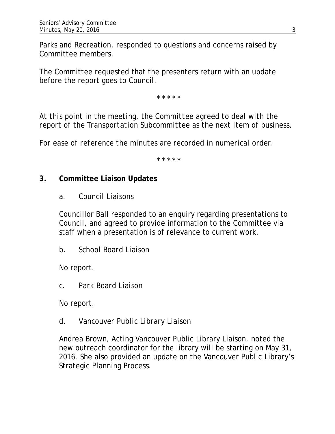Parks and Recreation, responded to questions and concerns raised by Committee members.

The Committee requested that the presenters return with an update before the report goes to Council.

\* \* \* \* \*

*At this point in the meeting, the Committee agreed to deal with the report of the Transportation Subcommittee as the next item of business.*

*For ease of reference the minutes are recorded in numerical order.*

*\* \* \* \* \**

## **3. Committee Liaison Updates**

*a. Council Liaisons*

Councillor Ball responded to an enquiry regarding presentations to Council, and agreed to provide information to the Committee via staff when a presentation is of relevance to current work.

*b. School Board Liaison*

No report.

*c. Park Board Liaison*

No report.

### *d. Vancouver Public Library Liaison*

Andrea Brown, Acting Vancouver Public Library Liaison, noted the new outreach coordinator for the library will be starting on May 31, 2016. She also provided an update on the Vancouver Public Library's Strategic Planning Process.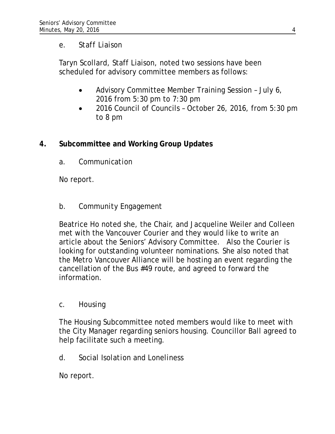## *e. Staff Liaison*

Taryn Scollard, Staff Liaison, noted two sessions have been scheduled for advisory committee members as follows:

- Advisory Committee Member Training Session July 6, 2016 from 5:30 pm to 7:30 pm
- 2016 Council of Councils October 26, 2016, from 5:30 pm to 8 pm

# **4. Subcommittee and Working Group Updates**

*a. Communication*

No report.

# *b. Community Engagement*

Beatrice Ho noted she, the Chair, and Jacqueline Weiler and Colleen met with the Vancouver Courier and they would like to write an article about the Seniors' Advisory Committee. Also the Courier is looking for outstanding volunteer nominations. She also noted that the Metro Vancouver Alliance will be hosting an event regarding the cancellation of the Bus #49 route, and agreed to forward the information.

# *c. Housing*

The Housing Subcommittee noted members would like to meet with the City Manager regarding seniors housing. Councillor Ball agreed to help facilitate such a meeting.

*d. Social Isolation and Loneliness*

No report.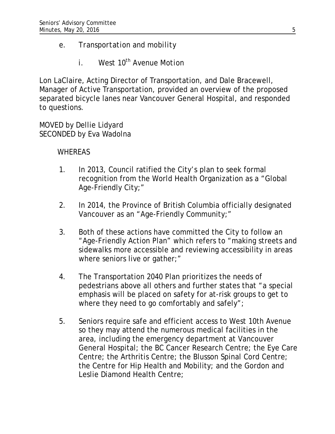# *e. Transportation and mobility*

*i.* West  $10^{th}$  Avenue Motion

Lon LaClaire, Acting Director of Transportation, and Dale Bracewell, Manager of Active Transportation, provided an overview of the proposed separated bicycle lanes near Vancouver General Hospital, and responded to questions.

MOVED by Dellie Lidyard SECONDED by Eva Wadolna

# **WHEREAS**

- 1. In 2013, Council ratified the City's plan to seek formal recognition from the World Health Organization as a "Global Age-Friendly City;"
- 2. In 2014, the Province of British Columbia officially designated Vancouver as an "Age-Friendly Community;"
- 3. Both of these actions have committed the City to follow an "Age-Friendly Action Plan" which refers to "making streets and sidewalks more accessible and reviewing accessibility in areas where seniors live or gather;"
- 4. The Transportation 2040 Plan prioritizes the needs of pedestrians above all others and further states that "a special emphasis will be placed on safety for at-risk groups to get to where they need to go comfortably and safely";
- 5. Seniors require safe and efficient access to West 10th Avenue so they may attend the numerous medical facilities in the area, including the emergency department at Vancouver General Hospital; the BC Cancer Research Centre; the Eye Care Centre; the Arthritis Centre; the Blusson Spinal Cord Centre; the Centre for Hip Health and Mobility; and the Gordon and Leslie Diamond Health Centre;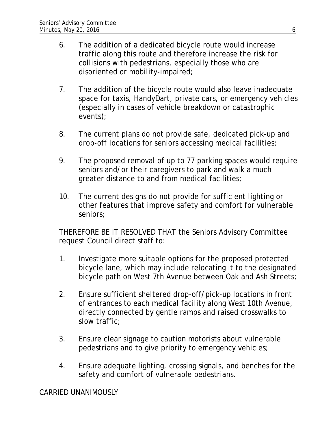- 6. The addition of a dedicated bicycle route would increase traffic along this route and therefore increase the risk for collisions with pedestrians, especially those who are disoriented or mobility-impaired;
- 7. The addition of the bicycle route would also leave inadequate space for taxis, HandyDart, private cars, or emergency vehicles (especially in cases of vehicle breakdown or catastrophic events);
- 8. The current plans do not provide safe, dedicated pick-up and drop-off locations for seniors accessing medical facilities;
- 9. The proposed removal of up to 77 parking spaces would require seniors and/or their caregivers to park and walk a much greater distance to and from medical facilities;
- 10. The current designs do not provide for sufficient lighting or other features that improve safety and comfort for vulnerable seniors;

THEREFORE BE IT RESOLVED THAT the Seniors Advisory Committee request Council direct staff to:

- 1. Investigate more suitable options for the proposed protected bicycle lane, which may include relocating it to the designated bicycle path on West 7th Avenue between Oak and Ash Streets;
- 2. Ensure sufficient sheltered drop-off/pick-up locations in front of entrances to each medical facility along West 10th Avenue, directly connected by gentle ramps and raised crosswalks to slow traffic;
- 3. Ensure clear signage to caution motorists about vulnerable pedestrians and to give priority to emergency vehicles;
- 4. Ensure adequate lighting, crossing signals, and benches for the safety and comfort of vulnerable pedestrians.

CARRIED UNANIMOUSLY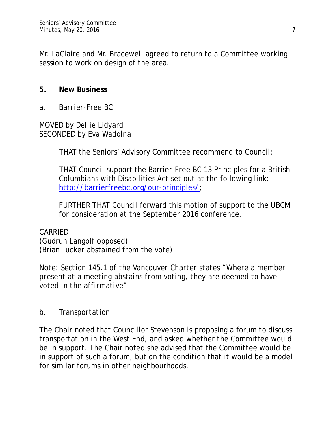Mr. LaClaire and Mr. Bracewell agreed to return to a Committee working session to work on design of the area.

## **5. New Business**

*a. Barrier-Free BC*

MOVED by Dellie Lidyard SECONDED by Eva Wadolna

THAT the Seniors' Advisory Committee recommend to Council:

THAT Council support the Barrier-Free BC 13 Principles for a British Columbians with Disabilities Act set out at the following link: [http://barrierfreebc.org/our-principles/;](http://barrierfreebc.org/our-principles/)

FURTHER THAT Council forward this motion of support to the UBCM for consideration at the September 2016 conference.

CARRIED (Gudrun Langolf opposed) (Brian Tucker abstained from the vote)

*Note: Section 145.1 of the Vancouver Charter states "Where a member present at a meeting abstains from voting, they are deemed to have voted in the affirmative"*

# *b. Transportation*

The Chair noted that Councillor Stevenson is proposing a forum to discuss transportation in the West End, and asked whether the Committee would be in support. The Chair noted she advised that the Committee would be in support of such a forum, but on the condition that it would be a model for similar forums in other neighbourhoods.